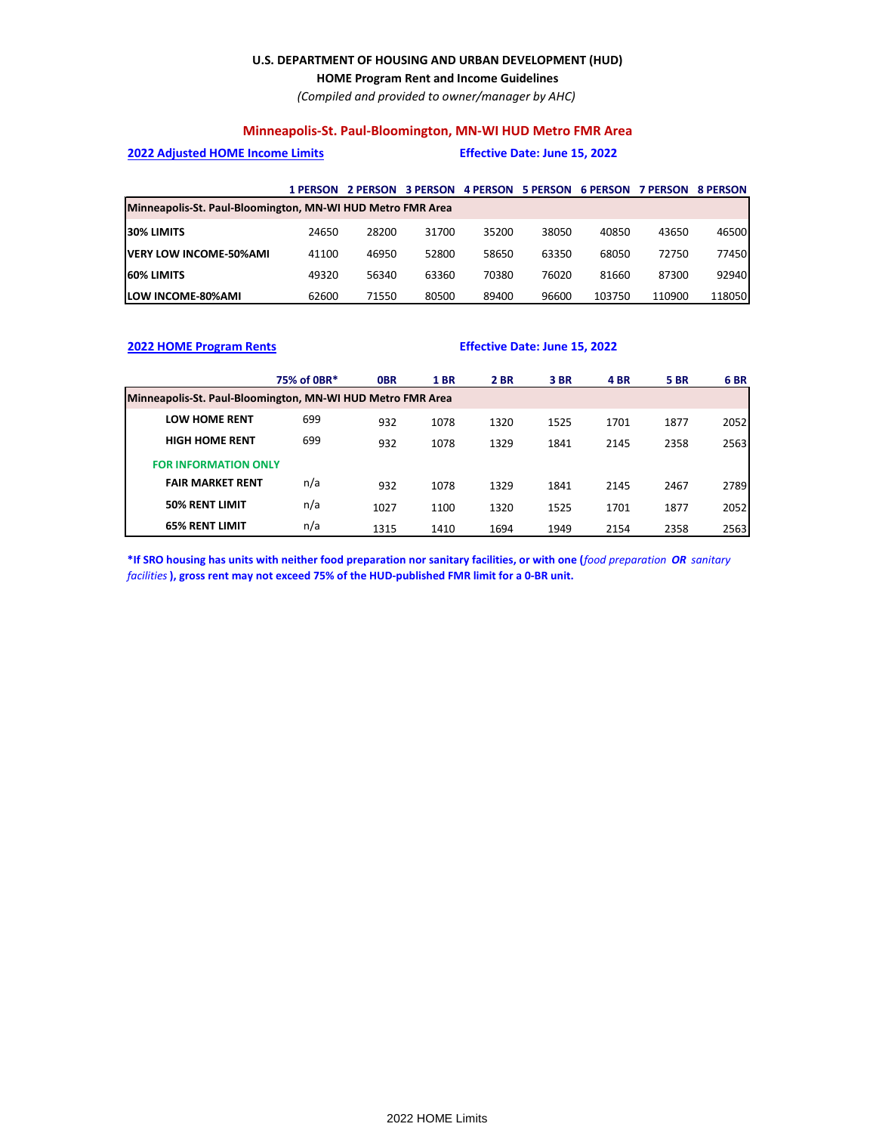# **U.S. DEPARTMENT OF HOUSING AND URBAN DEVELOPMENT (HUD)**

**HOME Program Rent and Income Guidelines**

*(Compiled and provided to owner/manager by AHC)*

### **Minneapolis-St. Paul-Bloomington, MN-WI HUD Metro FMR Area**

|                                                            | <b>1 PERSON</b> | <b>2 PERSON</b> | <b>3 PERSON</b> | <b>4 PERSON</b> | <b>5 PERSON</b> | <b>6 PERSON</b> | <b>7 PERSON</b> | <b>8 PERSON</b> |  |  |
|------------------------------------------------------------|-----------------|-----------------|-----------------|-----------------|-----------------|-----------------|-----------------|-----------------|--|--|
| Minneapolis-St. Paul-Bloomington, MN-WI HUD Metro FMR Area |                 |                 |                 |                 |                 |                 |                 |                 |  |  |
| <b>30% LIMITS</b>                                          | 24650           | 28200           | 31700           | 35200           | 38050           | 40850           | 43650           | 46500           |  |  |
| <b>IVERY LOW INCOME-50%AMI</b>                             | 41100           | 46950           | 52800           | 58650           | 63350           | 68050           | 72750           | 77450           |  |  |
| <b>60% LIMITS</b>                                          | 49320           | 56340           | 63360           | 70380           | 76020           | 81660           | 87300           | 92940           |  |  |

**LOW INCOME-80%AMI** 62600 71550 80500 89400 96600 103750 110900 118050

**2022 Adjusted HOME Income Limits Effective Date: June 15, 2022**

#### **2022 HOME Program Rents Effective Date: June 15, 2022**

|                                                            | 75% of 0BR* | <b>OBR</b> | <b>1 BR</b> | <b>2 BR</b> | 3 BR | 4 BR | <b>5 BR</b> | 6 <sub>BR</sub> |
|------------------------------------------------------------|-------------|------------|-------------|-------------|------|------|-------------|-----------------|
| Minneapolis-St. Paul-Bloomington, MN-WI HUD Metro FMR Area |             |            |             |             |      |      |             |                 |
| <b>LOW HOME RENT</b>                                       | 699         | 932        | 1078        | 1320        | 1525 | 1701 | 1877        | 2052            |
| <b>HIGH HOME RENT</b>                                      | 699         | 932        | 1078        | 1329        | 1841 | 2145 | 2358        | 2563            |
| <b>FOR INFORMATION ONLY</b>                                |             |            |             |             |      |      |             |                 |
| <b>FAIR MARKET RENT</b>                                    | n/a         | 932        | 1078        | 1329        | 1841 | 2145 | 2467        | 2789            |
| <b>50% RENT LIMIT</b>                                      | n/a         | 1027       | 1100        | 1320        | 1525 | 1701 | 1877        | 2052            |
| <b>65% RENT LIMIT</b>                                      | n/a         | 1315       | 1410        | 1694        | 1949 | 2154 | 2358        | 2563            |

**\*If SRO housing has units with neither food preparation nor sanitary facilities, or with one (***food preparation OR sanitary facilities***), gross rent may not exceed 75% of the HUD-published FMR limit for a 0-BR unit.**